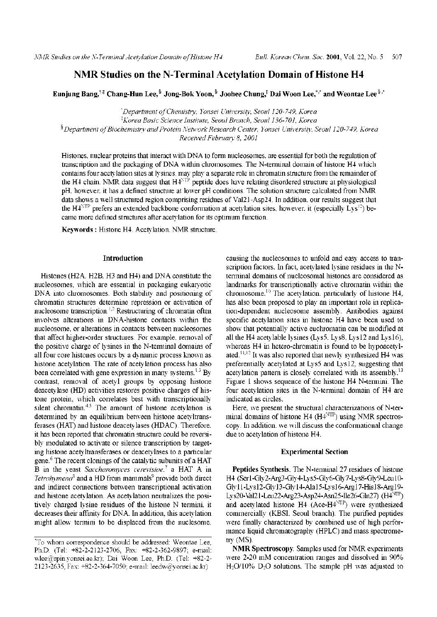# **NMR Studies on the N-Terminal Acetylation Domain ofHistone H4**

Eunjung Bang,<sup>†‡</sup> Chang-Hun Lee,<sup>§</sup> Jong-Bok Yoon,<sup>§</sup> Joohee Chung,<sup>‡</sup> Dai Woon Lee,<sup>†</sup>,[\\*](#page-0-0) and Weontae Lee <sup>§</sup>[,](#page-0-0)\*

*'Department ofChemistry, Yonsei University, Seoul 120-749, Korea 'Korea Basic Science Institute, Seoul Branch, Seoul 136-701, Korea §Department ofBiochemistry andProtein NetworkResearch Center, Yonsei University, Seoul 120-749, Korea Received February 8, 2001*

Histones, nuclear proteins that interact with DNA to form nucleosomes, are essential for both the regulation of transcription and the packaging of DNA within chromosomes. The N-terminal domain of histone H4 which contains four acetylation sites at lysines, may play a separate role in chromatin structure from the remainder of the H4 chain. NMR data suggest that  $H4<sup>NTP</sup>$  peptide does have relating disordered structure at physiological pH, however, it has a defined structure at lower pH conditions. The solution structure calculated from NMR data shows a well structured region comprising residues of Val21-Asp24. In addition, our results suggest that the H $4^{\text{NTP}}$  prefers an extended backbone conformation at acetylation sites, however, it (especially Lys<sup>12</sup>) became more defined structures after acetylation for its optimum function.

**Keywords :** Histone H4, Acetylation, NMR structure.

## **Introduction**

Histones (H2A, H2B, H3 and H4) and DNA constitute the nucleosomes, which are essential in packaging eukaryotic DNA into chromosomes. Both stability and positioning of chromatin structures determine repression or activation of nucleosome transcription.<sup>1,2</sup> Restructuring of chromatin often involves alterations in DNA-histone contacts within the nucleosome, or alterations in contacts between nucleosomes that affect higher-order structures. For example, removal of the positive charge of lysines in the N-terminal domains of all four core histones occurs by a dynamic process known as histone acetylation. The rate of acetylation process has also been correlated with gene expression in many systems.<sup>1,3</sup> By contrast, removal of acetyl groups by opposing histone deacetylase (HD) activities restores positive charges of histone protein, which correlates best with transcriptionally silent chromatin.<sup>4,5</sup> The amount of histone acetylation is determined by an equilibrium between histone acetyltransferases (HAT) and histone deacetylases (HDAC). Therefore, it has been reported that chromatin structure could be reversibly modulated to activate or silence transcription by targeting histone acetyltransferases or deacetylases to a particular gene. $6$  The recent clonings of the catalytic subunits of a HAT B in the yeast *Sacchar myces cerevisiae,* a HAT A in *Tetrahymena*<sup> $\delta$ </sup> and a HD from mammals<sup>9</sup> provide both direct and indirect connections between transcriptional activation and histone acetylation. As acetylation neutralizes the positively charged lysine residues of the histone N termini, it decreases their affinity for DNA. In addition, this acetylation might allow termini to be displaced from the nuclesome,

causing the nucleosomes to unfold and easy access to transcription factors. In fact, acetylated lysine residues in the Nterminal domains of nucleosomal histones are considered as landmarks for transcriptionally active chromatin within the chromosome.<sup>10</sup> The acetylation, particularly of histone H4, has also been proposed to play an important role in replication-dependent nucleosome assembly. Antibodies against specific acetylation sites in histone H4 have been used to show that potentially active euchromatin can be modified at all the H4 acetylable lysines (Lys5, Lys8, Lys12 and Lys16), whereas H4 in hetero-chromatin is found to be hypoacetylated.<sup>11,12</sup> It was also reported that newly synthesized H4 was preferentially acetylated at Lys5 and Lys12, suggesting that acetylation pattern is closely correlated with its assembly.<sup>13</sup> Figure <sup>1</sup> shows sequence of the histone H4 N-termini. The four acetylation sites in the N-terminal domain of H4 are indicated as circles.

Here, we present the structural characterizations of N-terminal domains of histone H4 (H4<sup>NTP</sup>) using NMR spectroscopy. In addition, we will discuss the conformational change due to acetylation of histone H4.

## **Experimental Section**

**Peptides Synthesis**. The N-terminal 27 residues of histone H4 (Ser1-Gly2-Arg3-Gly4-Lys5-Gly6-Gly7-Lys8-Gly9-Leu10- Gly11-Lys12-Gly13-Gly14-Ala15-Lys16-Arg17-His18-Arg19- Lys20-Val21-Leu22-Arg23-Asp24-Asn25-Ile26-Gln27) (H4NTP) and acetylated histone H4 (Ace-H4<sup>NTP</sup>) were synthesized commercially (KBSI, Seoul branch). The purified peptides were finally characterized by combined use of high performance liquid chromatography (HPLC) and mass spectrometry (MS).

**NMR Spectroscopy**. Samples used for NMR experiments were 2-20 mM concentration ranges and dissolved in 90%  $H<sub>2</sub>O/10\%$  D<sub>2</sub>O solutions. The sample pH was adjusted to

<span id="page-0-0"></span><sup>\*</sup>To whom correspondence should be addressed: Weontae Lee, Ph.D. (Tel: +82-2-2123-2706, Fax: +82-2-362-9897; e-mail: wlee@spin.yonsei.ac.kr); Dai Woon Lee, Ph.D. (Tel: +82-2-2123-2635, Fax: +82-2-364-7050; e-mail: [leedw@yonsei.ac.kr](mailto:leedw@yonsei.ac.kr))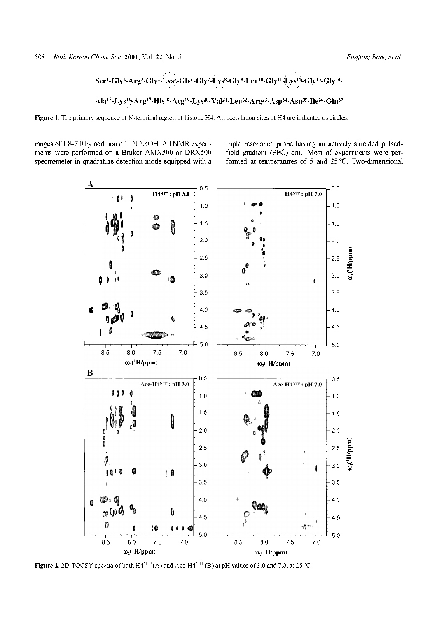508 *Bull. Korean Chem. Soc.* 2001, Vol. 22, No. 5 *Eunjung Bang et al.* 

$$
Ser^1-Gly^2-Arg^3-Gly^4+Lys^5-Gly^6-Gly^7+Lys^8-Gly^9-Leu^{10}-Gly^{11}+Lys^{12}-Gly^{13}-Gly^{14}-Lys^{14}-Lys^{10}+Lys^{10}+Lys^{10}+Lys^{10}+Lys^{10}+Lys^{10}+Lys^{10}+Lys^{10}+Lys^{10}+Lys^{10}+Lys^{10}+Lys^{10}+Lys^{10}+Lys^{10}+Lys^{10}+Lys^{10}+Lys^{10}+Lys^{10}+Lys^{10}+Lys^{10}+Lys^{10}+Lys^{10}+Lys^{10}+Lys^{10}+Lys^{10}+Lys^{10}+Lys^{10}+Lys^{10}+Lys^{10}+Lys^{10}+Lys^{10}+Lys^{10}+Lys^{10}+Lys^{10}+Lys^{10}+Lys^{10}+Lys^{10}+Lys^{10}+Lys^{10}+Lys^{10}+Lys^{10}+Lys^{10}+Lys^{10}+Lys^{10}+Lys^{10}+Lys^{10}+Lys^{10}+Lys^{10}+Lys^{10}+Lys^{10}+Lys^{10}+Lys^{10}+Lys^{10}+Lys^{10}+Lys^{10}+Lys^{10}+Lys^{10}+Lys^{10}+Lys^{10}+Lys^{10}+Lys^{10}+Lys^{10}+Lys^{10}+Lys^{10}+Lys^{10}+Lys^{10}+Lys^{10}+Lys^{10}+Lys^{10}+Lys^{10}+Lys^{10}+Lys^{10}+Lys^{10}+Lys^{10}+Lys^{10}+Lys^{10}+Lys^{10}+Lys^{10}+Lys^{10}+Lys^{10}+Lys^{10}+Lys^{10}+Lys^{10}+Lys^{10}+Lys^{10}+Lys^{10}+Lys^{10}+Lys^{10}+Lys^{10}+Lys^{10}+Lys^{10}+Lys^{10}+Lys^{10}+Lys^{10}+Lys^{10}+Lys^{10}+Lys^{10}+Lys^{10}
$$

## **Ala^^ys^-Arg^-His^-Arg^-Lys^-VaP^Leu^-Arg^-Asp^-Asn^-Ile^-Gln<sup>27</sup>**

Figure 1. The primary sequence of N-terminal region of histone H4. All acetylation sites of H4 are indicated as circles.

ranges of 1.8-7.0 by addition of 1N NaOH. All NMR experiments were performed on a Bruker AMX500 or DRX500 spectrometer in quadrature detection mode equipped with a triple resonance probe having an actively shielded pulsedfield gradient (PFG) coil. Most of experiments were performed at temperatures of 5 and 25 °C. Two-dimensional



**Figure 2**. 2D-TOCSY spectra of both H4<sup>MTP</sup> (A) and Ace-H4<sup>NTP</sup> (B) at pH values of 3.0 and 7.0, at 25 °C.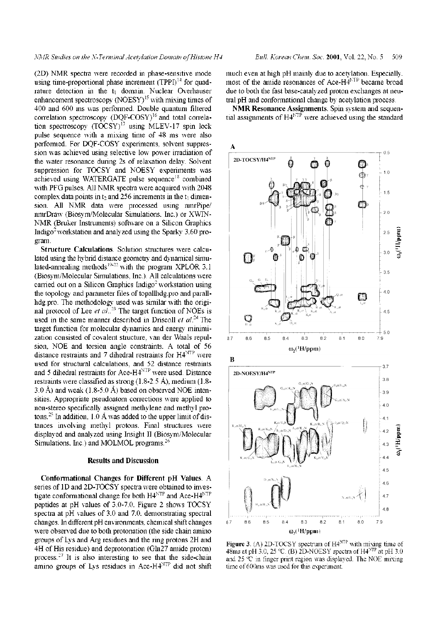(2D) NMR spectra were recorded in phase-sensitive mode using time-proportional phase increment  $(TPPI)^{14}$  for quadrature detection in the  $t_1$  domain. Nuclear Overhauser enhancement spectroscopy  $(NOESY)^{15}$  with mixing times of 400 and 600 ms was performed. Double quantum filtered correlation spectroscopy (DOF-COSY)<sup>16</sup> and total correlation spectroscopy  $(TOCSY)^{17}$  using MLEV-17 spin lock pulse sequence with a mixing time of 48 ms were also performed. For DQF-COSY experiments, solvent suppression was achieved using selective low power irradiation of the water resonance during 2s of relaxation delay. Solvent suppression for TOCSY and NOESY experiments was achieved using WATERGATE pulse sequence<sup>18</sup> combined with PFG pulses. All NMR spectra were acquired with 2048 complex data points in  $t_2$  and 256 increments in the  $t_1$  dimension. All NMR data were processed using nmrPipe/ nmrDraw (Biosym/Molecular Simulations, Inc.) or XWIN-NMR (Bruker Instruments) software on a Silicon Graphics Indigo<sup>2</sup> workstation and analyzed using the Sparky 3.60 program.

**Structure Calculations**. Solution structures were calculated using the hybrid distance geometry and dynamical simulated-annealing methods<sup>19-22</sup> with the program XPLOR 3.1 (Biosym/Molecular Simulations, Inc.). All calculations were carried out on a Silicon Graphics Indigo<sup>2</sup> workstation using the topology and parameter files of topallhdg.pro and parallhdg.pro. The methodology used was similar with the original protocol of Lee *et al*..<sup>23</sup> The target function of NOEs is used in the same manner described in Driscoll *et al*.<sup>24</sup> The target function for molecular dynamics and energy minimization consisted of covalent structure, van der Waals repulsion, NOE and torsion angle constraints. A total of 56 distance restraints and 7 dihedral restraints for  $H4^{NTP}$  were used for structural calculations, and 52 distance restraints and 5 dihedral restraints for Ace-H4NTP were used. Distance restraints were classified as strong  $(1.8-2.5 \text{ Å})$ , medium  $(1.8-2.5 \text{ Å})$ 3.0 Å) and weak  $(1.8-5.0 \text{ Å})$  based on observed NOE intensities. Appropriate pseudoatom corrections were applied to non-stereo specifically assigned methylene and methyl protons.<sup>25</sup> In addition,  $1.0 \text{ Å}$  was added to the upper limit of distances involving methyl protons. Final structures were displayed and analyzed using Insight II (Biosym/Molecular Simulations, Inc.) and MOLMOL programs.<sup>26</sup>

### **Results and Discussion**

**Conformation Changes for Different pH Values**. A series of 1D and 2D-TOCSY spectra were obtained to investigate conformational change for both  $H4^{NTP}$  and Ace- $H4^{NTP}$ peptides at pH values of 3.0-7.0. Figure 2 shows TOCSY spectra at pH values of 3.0 and 7.0, demonstrating spectral changes. In different pH environments, chemical shift changes were observed due to both protonation (the side chain amino groups of Lys and Arg residues and the ring protons 2H and 4H of His residue) and deprotonation (Gln27 amide proton) process.<sup>27</sup> It is also interesting to see that the side-chain amino groups of Lys residues in Ace-H4NTP did not shift

much even at high pH mainly due to acetylation. Especially, most of the amide resonances of Ace-H4<sup>NTP</sup> became broad due to both the fast base-catalyzed proton exchanges at neutral pH and conformational change by acetylation process.

**NMR Resonance Assignments**. Spin system and sequential assignments of H4<sup>NTP</sup> were achieved using the standard



**Figure 3**. (A) 2D-TOCSY spectrum of H4**NTP** with mixing time of 48ms at pH 3.0, 25 °C. (B) 2D-NOESY spectra of H4<sup>NTP</sup> at pH 3.0 and 25  $\degree$ C in finger print region was displayed. The NOE mixing time of 600ms was used for this experiment.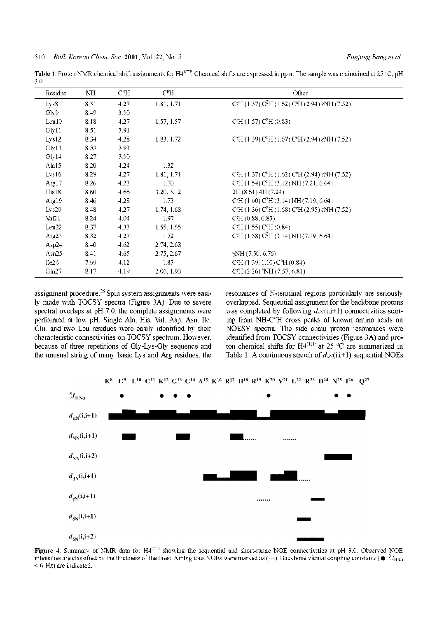**Table 1**. Proton NMR chemical shift assignments for H4<sup>NTP</sup>. Chemical shifts are expressed in ppm. The sample was maintained at 25 °C, pH 3.0

| Residue            | NH   | $\mathrm{C}^{\alpha}\mathrm{H}$ | С <sup>β</sup> Н  | Other                                                       |
|--------------------|------|---------------------------------|-------------------|-------------------------------------------------------------|
| Lys8               | 8.31 | 4.27                            | 1.81, 1.71        | C'H (1.37) $C^5H$ (1.62) $C^6H$ (2.94) $\epsilon NH$ (7.52) |
| Glv9               | 8.49 | 3.90                            |                   |                                                             |
| Leu10              | 8.18 | 4.27                            | 1.57, 1.57        | CH (1.57) C <sup>5</sup> H (0.83)                           |
| Gly11              | 8.51 | 3.91                            |                   |                                                             |
| Lys <sub>12</sub>  | 8.34 | 4.28                            | 1.83, 1.72        | C'H (1.39) $C^5H$ (1.67) $C^6H$ (2.94) $\epsilon NH$ (7.52) |
| Gly13              | 8.53 | 3.93                            |                   |                                                             |
| Gly14              | 8.27 | 3.90                            |                   |                                                             |
| Ala15              | 8.20 | 4.24                            | 1.32              |                                                             |
| Lvs16              | 8.29 | 4.27                            | 1.81, 1.71        | C'H (1.37) $C^5H$ (1.62) $C^6H$ (2.94) $\epsilon NH$ (7.52) |
| Arg17              | 8.26 | 4.23                            | 1.70 <sub>1</sub> | $CH (1.54) C5H (3.12) NH (7.21, 6.64)$                      |
| His18              | 8.60 | 4.66                            | 3.20, 3.12        | 2H (8.61) 4H (7.24)                                         |
| Arg19              | 8.46 | 4.28                            | 1.73              | $CH (1.60) C5H (3.14) NH (7.19, 6.64)$                      |
| Lys20              | 8.48 | 4.27                            | 1.74, 1.68        | C'H (1.36) $C^5H$ (1.68) $C^6H$ (2.95) $\epsilon$ NH (7.52) |
| Val <sub>2</sub> 1 | 8.24 | 4.04                            | 1.97              | CH (0.88, 0.83)                                             |
| Leu22              | 8.37 | 4.33                            | 1.55, 1.55        | CH (1.55) C <sup>5</sup> H (0.84)                           |
| Arg23              | 8.32 | 4.27                            | 1.72              | $CH (1.58) C5H (3.14) NH (7.19, 6.64)$                      |
| Asp24              | 8.40 | 4.62                            | 2.74, 2.68        |                                                             |
| Asn $25$           | 8.41 | 4.65                            | 2.75, 2.67        | $\gamma$ NH (7.50, 6.76)                                    |
| Ile26              | 7.99 | 4.12                            | 1.83              | CH(1.39, 1.10) C <sup>5</sup> H(0.84)                       |
| Gln27              | 8.17 | 4.19                            | 2.06, 1.90        | CH (2.26) <sup>8</sup> NH (7.57, 6.81)                      |

assignment procedure.<sup>28</sup> Spin system assignments were easily made with TOCSY spectra (Figure 3A). Due to severe spectral overlaps at pH 7.0, the complete assignments were performed at low pH. Single Ala, His, Val, Asp, Asn, Ile, Gln, and two Leu residues were easily identified by their characteristic connectivities on TOCSY spectrum. However, because of three repetitions of Gly-Lys-Gly sequence and the unusual string of many basic Lys and Arg residues, the

resonances of N-terminal regions particularly are seriously overlapped. Sequential assignment for the backbone protons was completed by following  $d_{\alpha}(i,i+1)$  connectivities starting from NH-C*°*H cross peaks of known amino acids on NOESY spectra. The side chain proton resonances were identified from TOCSY connectivities (Figure 3A) and proton chemical shifts for  $H4^{NTP}$  at 25 °C are summarized in Table 1. A continuous stretch of  $d_{\alpha\lambda}(i.i+1)$  sequential NOEs



Figure 4. Summary of NMR data for H4<sup>NTP</sup> showing the sequential and short-range NOE connectivities at pH 3.0. Observed NOE intensities are classified by the thickness of the lines. Ambiguous NOEs were marked as (---). Backbone vicinal coupling constants ( $\bullet$ ;  $^3 J_{H N a}$ < 6 Hz) are indicated.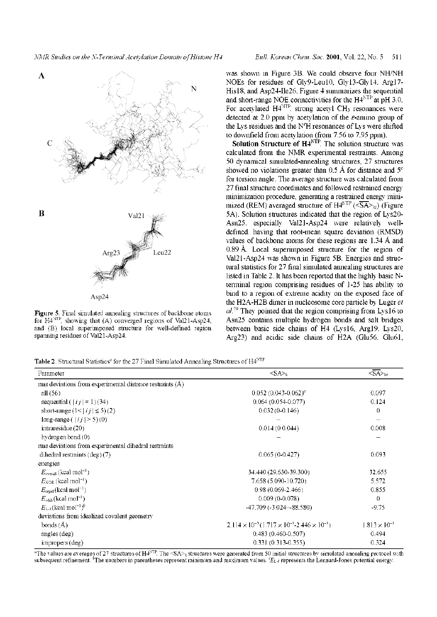

**Figure 5**. Final simulated annealing structures of backbone atoms for H4<sup>NTP</sup>, showing that (A) converged regions of Val21-Asp24, and (B) local superimposed structure for well-defined region spanning residues of Val21-Asp24.

was shown in Figure 3B. We could observe four NH/NH NOEs for residues of Gly9-Leu10, Gly13-Gly14, Arg17- His18, and Asp24-Ile26. Figure 4 summarizes the sequential and short-range NOE connectivities for the  $H4<sup>NTP</sup>$  at pH 3.0. For acetylated H4<sup>NTP</sup>, strong acetyl CH<sub>3</sub> resonances were detected at 2.0 ppm by acetylation of the  $\varepsilon$ -amino group of the Lys residues and the  $N<sup>s</sup>H$  resonances of Lys were shifted to downfield from acetylation (from 7.56 to 7.95 ppm).

**Solution Structure of H4NTP.** The solution structure was calculated from the NMR experimental restraints. Among 50 dynamical simulated-annealing structures, 27 structures showed no violations greater than 0.5 Å for distance and  $5^{\circ}$ for torsion angle. The average structure was calculated from 27 final structure coordinates and followed restrained energy minimization procedure, generating a restrained energy minimized (REM) averaged structure of  $H4^{NTP}$  ( $\overline{SA}$ )<sub>kr</sub>) (Figure 5A). Solution structures indicated that the region of Lys20- Asn25, especially Val21-Asp24 were relatively welldefined, having that root-mean square deviation (RMSD) values of backbone atoms for these regions are 1.34 A and 0.89 A. Local superimposed structure for the region of Val21-Asp24 was shown in Figure 5B. Energies and structural statistics for 27 final simulated annealing structures are listed in Table 2. It has been reported that the highly basic Nterminal region comprising residues of 1-25 has ability to bind to a region of extreme acidity on the exposed face of the H2A-H2B dimer in nucleosome core particle by Luger *et al*.<sup>29</sup> They pointed that the region comprising from Lys16 to Asn25 contains multiple hydrogen bonds and salt bridges between basic side chains of H4 (Lys16, Arg19, Lys20, Arg23) and acidic side chains of H2A (Glu56, Glu61,

Table 2. Structural Statistics<sup>a</sup> for the 27 Final Simulated Annealing Structures of H4<sup>NTP</sup>

| Parameter                                                  | $<\text{SA}_{\geq k}$                                                | $<\!\overline{\text{SA}}\!\!>_k$ |
|------------------------------------------------------------|----------------------------------------------------------------------|----------------------------------|
| rms deviations from experimental distance restraints $(A)$ |                                                                      |                                  |
| all $(56)$                                                 | $0.052(0.043 - 0.062)^{o}$                                           | 0.097                            |
| sequential $( ij  = 1)(34)$                                | $0.064(0.054-0.077)$                                                 | 0.124                            |
| short-range $(1< i j  \le 5)(2)$                           | $0.032(0-0.146)$                                                     | 0.                               |
| long-range $( ij  > 5)(0)$                                 |                                                                      |                                  |
| intraresidue $(20)$                                        | 0.014(0.044)                                                         | 0.008                            |
| hydrogen bond $(0)$                                        |                                                                      |                                  |
| rms deviations from experimental dihedral restraints       |                                                                      |                                  |
| dihedral restraints $(\text{deg})$ (7)                     | $0.065(0-0.427)$                                                     | 0.093                            |
| energies                                                   |                                                                      |                                  |
| $E_{\text{overall}}$ (kcal mol <sup>-1</sup> )             | 34.440 (29.630-39.300)                                               | 32.655                           |
| $E_{\text{NDE}}$ (keal mol <sup>-1</sup> )                 | 7.658 (5.090-10.720)                                                 | 5.572                            |
| $E_{\text{repel}}(\text{kcal mol}^{-1})$                   | $0.98(0.069 - 2.466)$                                                | 0.855                            |
| $E_{\text{cdub}}$ (kcal mol <sup>-1</sup> )                | $0.009(0-0.078)$                                                     | 0                                |
| $E_{LJ}$ (keal mol <sup>-1</sup> ) <sup>b</sup>            | $-47.709(-3.024 - 88.580)$                                           | $-9.75$                          |
| deviations from idealized covalent geometry                |                                                                      |                                  |
| bonds $(A)$                                                | $2.114 \times 10^{-3} (1.717 \times 10^{-3} - 2.446 \times 10^{-3})$ | $1.813 \times 10^{-3}$           |
| angles $(\text{deg})$                                      | $0.483(0.460 - 0.507)$                                               | 0.494                            |
| impropers (deg)                                            | $0.331(0.313 - 0.355)$                                               | 0.324                            |

*a*The values are averages of 27 structures of  $H^{ATP}$ . The  $SAS<sub>k</sub>$  structures were generated from 50 initial structures by simulated annealing protocol with subsequent refinement. *"*The numbers in parentheses represent minimum and maximum values. *<sup>c</sup>E*L\_j represents the Lennard-Jones potential energy.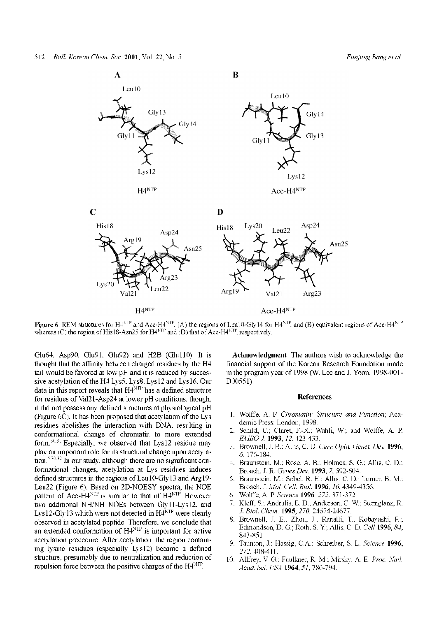

**Figure 6**. REM structures for H4<sup>NTP</sup> and Ace-H4<sup>NTP</sup>; (A) the regions of Leu10-Gly14 for H4<sup>NTP</sup>, and (B) equivalent regions of Ace-H4<sup>NTP</sup> whereas (C) the region of His18-Asn25 for  $H4^{NTP}$  and (D) that of Ace-H4<sup>NTP</sup>, respectively.

Glu64, Asp90, Glu91, Glu92) and H2B (Glu110). It is thought that the affinity between charged residues by the H4 tail would be favored at low pH and it is reduced by successive acetylation of the H4 Lys5, Lys8, Lys12 and Lys16. Our data in this report reveals that H4<sup>NTP</sup> has a defined structure for residues of Val21-Asp24 at lower pH conditions, though, it did not possess any defined structures at physiological pH (Figure  $6C$ ). It has been proposed that acetylation of the Lys residues abolishes the interaction with DNA, resulting in conformational change of chromatin to more extended form.30,31 Especially, we observed that Lys12 residue may play an important role for its structural change upon acetylation.5,30,32 In our study, although there are no significant conformational changes, acetylation at Lys residues induces defined structures in the regions of Leu10-Gly13 and Arg19- Leu22 (Figure 6). Based on 2D-NOESY spectra, the NOE pattern of Ace-H $4^{NTP}$  is similar to that of  $H4^{NTP}$ . However two additional NH/NH NOEs between Gly11-Lys12, and Lys12-Gly13 which were not detected in  $H4^{NTP}$  were clearly observed in acetylated peptide. Therefore, we conclude that an extended conformation of H4<sup>NTP</sup> is important for active acetylation procedure. After acetylation, the region containing lysine residues (especially Lys12) became a defined structure, presumably due to neutralization and reduction of repulsion force between the positive charges of the H4<sup>NTP</sup>.

**Acknowledgment**. The authors wish to acknowledge the financial support of the Korean Research Foundation made in the program year of 1998 (W. Lee and J. Yoon, 1998-001- D00551).

#### **References**

- 1. Wolffe, A. P. *Chromatin: Structure and Function;* Academic Press: London, 1998.
- 2. Schild, C.; Claret, F.-X.; Wahli, W.; and Wolffe, A. P *EMBO J.* **1993**, *12,* 423-433.
- 3. Brownell, J. B.; Allis, C. D. *Curr Opin. Genet. Dev.* **1996**, *6,* 176-184.
- 4. Braunstein, M.; Rose, A. B.; Holmes, S. G.; Allis, C. D.; Broach, J. R. *Genes Dev.* **1993**, *7*, 592-604.
- 5. Braunstein, M.; Sobel, R. E.; Allis, C. D.; Turner, B. M.; Broach, J. *Mol. Cell. Biol.* **1996**, *16*, 4349-4356.
- 6. Wolffe, A. P. *Science* **1996**, *272*, 371-372.
- 7. Kleff, S.; Andrulis, E. D.; Anderson, C. W.; Sternglanz, R. *J. Biol. Chem.* **1995**, *270,* 24674-24677.
- 8. Brownell, J. E.; Zhou, J.; Ranalli, T.; Kobayashi, R.; Edmondson, D. G.; Roth, S. Y; Allis, C. D. *Cell* **1996**, *84,* 843-851.
- 9. Taunton, J.; Hassig, C.A.; Schreiber, S. L. *Science* **1996**, *272*, 408-411.
- 10. Allfrey, V. G.; Faulkner, R. M.; Mirsky, A. E. *Proc. Natl. Acad. Sci. USA* **1964**, *51,* 786-794.